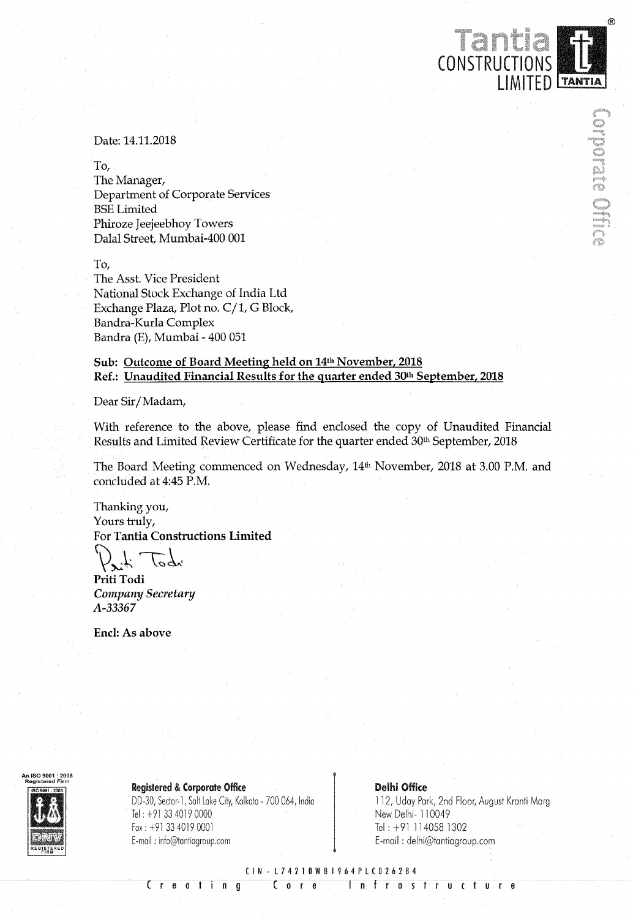# Date: 14.11.2018

To,

The Manager, Department of Corporate Services BSE Limited Phiroze Jeejeebhoy Towers Dalal Street, Mumbai-400 001

To,

The Asst. Vice President National Stock Exchange of India Ltd Exchange Plaza, Plot no. C/1, G Block, Bandra—Kurla Complex Bandra (E), Mumbai - 400 051

# Sub: Outcome of Board Meeting held on 14th November, 2018 Ref.: Unaudited Financial Results for the quarter ended 30th September, 2018

Dear Sir/ Madam,

With reference to the above, please find enclosed the copy of Unaudited Financial Results and Limited Review Certificate for the quarter ended 30th September, <sup>2018</sup>

The Board Meeting commenced on Wednesday, 14<sup>th</sup> November, 2018 at 3.00 P.M. and concluded at 4:45 P.M.

Thanking you, Yours truly, For Tantia Constructions Limited

 $\mathcal{P}_{x}$  to die

Priti Todi Company Secretary A-33367

Encl: As above



Registered & Corporate Office<br>DD-30, Sector-1, Salt Lake City, Kolkata - 700 064, India 112, Uday Park, 2nd Floor, August Kranti Marg DD-30, Sector-1, Salt Lake City, Kolkata - 700 064, India<br>Tel: +91 33 4019 0000 Fax: +91 33 4019 0001 Tel: +91 114058 1302 E-mail : info@tantiagroup.com <br>
E-mail : delhi@tantiagroup.com

New Delhi- 110049

CONSTRUCTION

Tent

LIMITED **Tantia** 

DVD MA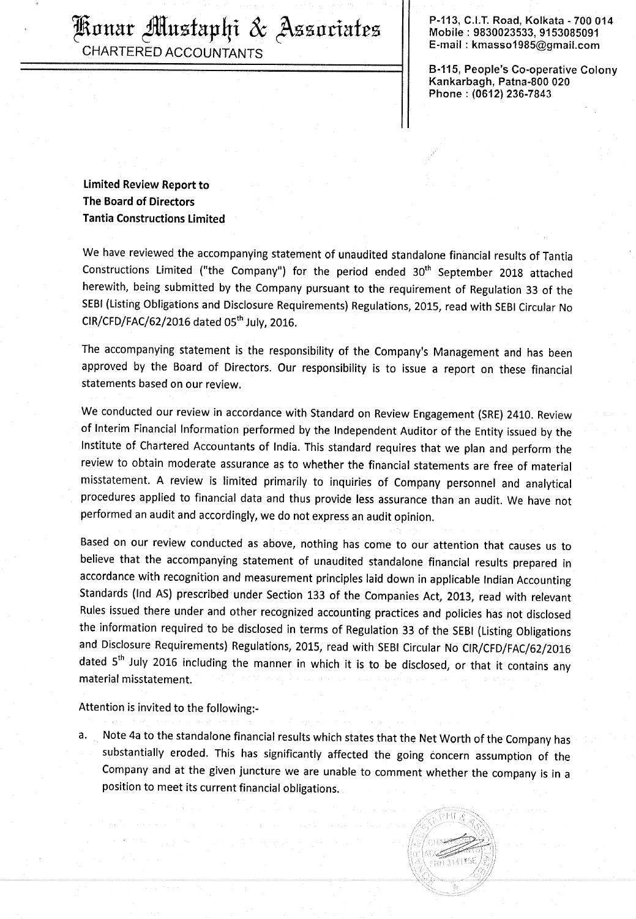$\frac{1}{2}$   $\frac{1}{2}$   $\frac{1}{2}$   $\frac{1}{2}$   $\frac{1}{2}$   $\frac{1}{2}$   $\frac{1}{2}$   $\frac{1}{2}$   $\frac{1}{2}$   $\frac{1}{2}$   $\frac{1}{2}$   $\frac{1}{2}$   $\frac{1}{2}$   $\frac{1}{2}$   $\frac{1}{2}$   $\frac{1}{2}$   $\frac{1}{2}$   $\frac{1}{2}$   $\frac{1}{2}$   $\frac{1}{2}$   $\frac{1}{2}$   $\frac{1}{2}$   $\left\{\begin{array}{rcl} \mathcal{H} & \mathcal{H} \end{array} \right. \ \left\{\begin{array}{rcl} \mathcal{H} & \mathcal{H} \end{array} \right\} \left\{\begin{array}{rcl} \mathcal{H} & \mathcal{H} \end{array} \right\} \ \left\{\begin{array}{rcl} \mathcal{H} & \mathcal{H} \end{array} \right\} \ \left\{\begin{array}{rcl} \mathcal{H} & \mathcal{H} \end{array} \right\} \ \left\{\begin{array}{rcl} \mathcal{H} & \mathcal{H} \end{array} \right\} \ \left\{\begin{array}{rcl} \mathcal{H} &$ E-mail : kmasso1985@gmail.com CHARTERED ACCOUNTANTS

P-113, C.I.T. Road, Kolkata - 700 014<br>Mobile : 9830023533, 9153085091

B-115, People's Co-operative Colony Kankarbagh, Patna-800 020 Phone : (0612) 236-7843

Limited Review Report to The Board of Directors Tantia Constructions Limited

We have reviewed the accompanying statement of unaudited standalone financial results of Tantia Constructions Limited ("the Company") for the period ended 30<sup>th</sup> September 2018 attached herewith, being submitted by the Company pursuant to the requirement of Regulation <sup>33</sup> of the SEBI (Listing Obligations and Disclosure Requirements) Regulations, 2015, read with SEBI Circular No  $CIR/CFD/FAC/62/2016$  dated  $05<sup>th</sup>$  July, 2016.

The accompanying statement is the responsibility of the Company's Management and has been approved by the Board of Directors. Our responsibility is to issue <sup>a</sup> report on these financial statements based on our review.

We conducted our review in accordance with Standard on Review Engagement (SRE) 2410. Review of Interim Financial Information performed by the Independent Auditor of the Entity issued by the Institute of Chartered Accountants of India. This standard requires that we plan and perform the review to obtain moderate assurance as to whether the financial statements are free of material misstatement. <sup>A</sup> review is limited primarily to inquiries of Company personnel and analytical procedures applied to financial data and thus provide less assurance than an audit. We have not performed an audit and accordingly, we do not express an audit opinion.

Based on our review conducted as above, nothing has come to our attention that causes us to believe that the accompanying statement of unaudited standalone financial results prepared in accordance with recognition and measurement principles laid down in applicable Indian Accounting Standards (Ind AS) prescribed under Section <sup>133</sup> of the Companies Act, 2013, read with relevant Rules issued there under and other recognized accounting practices and policies has not disclosed the information required to be disclosed in terms of Regulation <sup>33</sup> of the SEBI (Listing Obligations and Disclosure Requirements) Regulations, 2015, read with SEBI Circular No CIR/CFD/FAC/62/2016 dated 5<sup>th</sup> July 2016 including the manner in which it is to be disclosed, or that it contains any material misstatement.

Attention is invited to the following:—

a. Note 4a to the standalone financial results which states that the Net Worth of the Company has substantially eroded. This has significantly affected the going concern assumption of the Company and at the given juncture we are unable to comment whether the company is in <sup>a</sup> position to meet its current financial obligations.

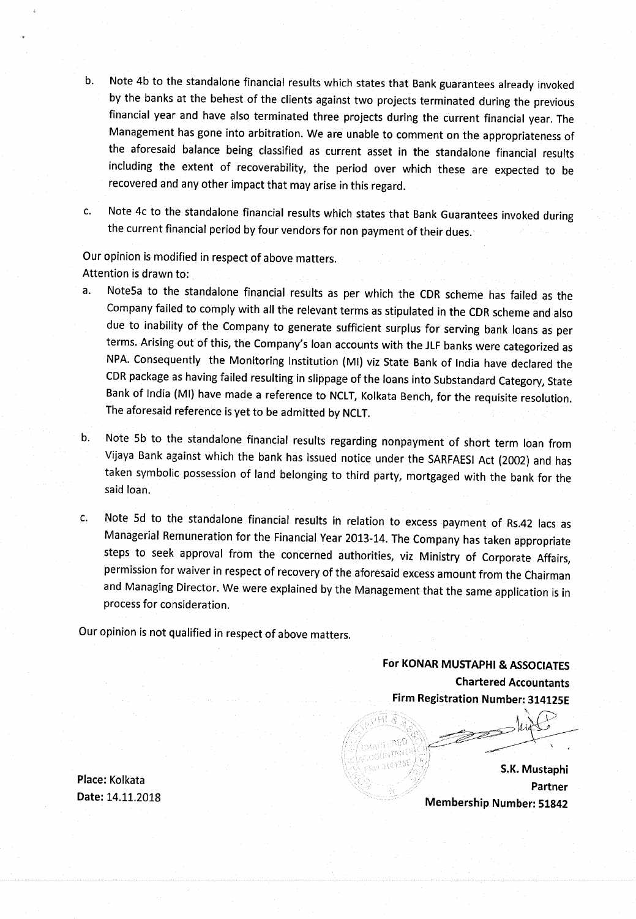- $b<sub>1</sub>$ Note 4b to the standalone financial results which states that Bank guarantees already invoked by the banks at the behest of the clients against two projects terminated during the previous financial year and have also terminated three projects during the current financial year. The Management has gone into arbitration. We are unable to comment on the appropriateness of the aforesaid balance being classified as current asset in the standalone financial results including the extent of recoverability, the period over which these are expected to be recovered and any other impact that may arise in this regard.
- c.

Note 4c to the standalone financial results which states that Bank Guarantees invoked during the current financial period by four vendors for non payment of their dues.

Our opinion is modified in respect of above matters. Attention is drawn to:

- a. NoteSa to the standalone financial results as per which the CDR scheme has failed as the Company failed to comply with all the relevant terms as stipulated in the CDR scheme and also due to inability of the Company to generate sufficient surplus for serving bank loans as per terms. Arising out of this, the Company's loan accounts with the JLF banks were categorized as NPA. Consequently the Monitoring Institution (MI) viz State Bank of India have declared the CDR package as having failed resulting in slippage of the loans into Substandard Category, State Bank of India (Ml) have made <sup>a</sup> reference to NCLT, Kolkata Bench, for the requisite resolution. The aforesaid reference is yet to be admitted by NCLT.
- Note 5b to the standalone financial results regarding nonpayment of short term loan from  $b.$ Vijaya Bank against which the bank has issued notice under the SARFAESI Act (2002) and has taken symbolic possession of land belonging to third party, mortgaged with the bank for the said loan.
- Note 5d to the standalone financial results in relation to excess payment of R542 lacs as  $C<sub>1</sub>$ Managerial Remuneration for the Financial Year 2013-14. The Company has taken appropriate steps to seek approval from the concerned authorities, viz Ministry of Corporate Affairs, permission for waiver in respect of recovery of the aforesaid excess amount from the Chairman and Managing Director. We were explained by the Management that the same application is in process for consideration.

Our opinion is not qualified in respect of above matters.

For KONAR MUSTAPHI & ASSOCIATES Chartered Accountants Firm Registration Number: 314125E

Place: Kolkata Date: 14.11.2018

S.K. Mustaphi , Partner Membership Number: 51842

 $\checkmark$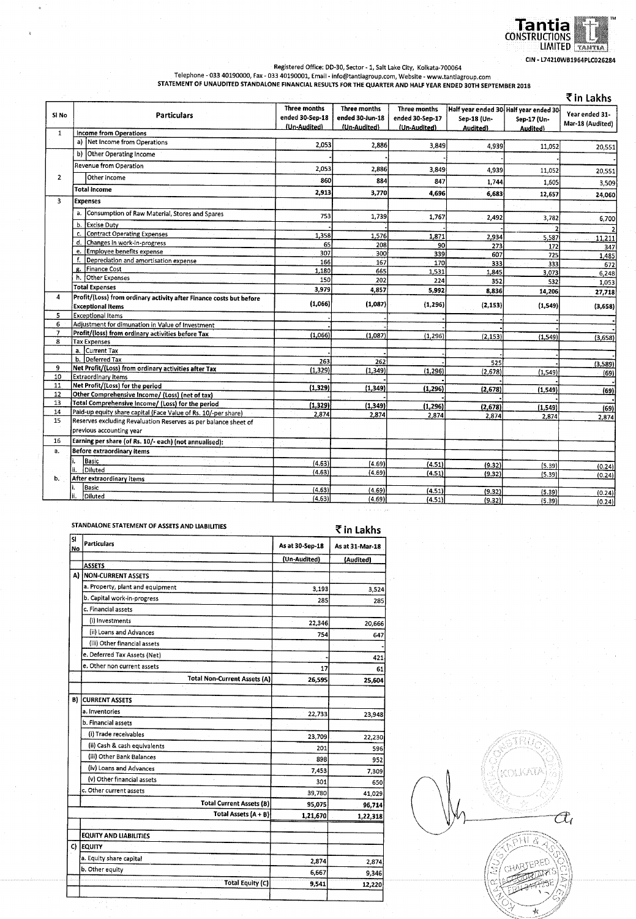

Hegistered Office: DD-30, Sector - 1, Salt Lake City, Kolkata-700064<br>Telephone - 033 40190000, Fax - 033 40190001, Email - info@tantiagroup.com, Website - www.tantiagroup.com<br>STATEMENT OF UNAUDITED STANDALONE FINANCIAL R

|                |                                                                                                 |                                                 |                                                 |                                                 |                                                                  |                         | ₹in Lakhs                          |
|----------------|-------------------------------------------------------------------------------------------------|-------------------------------------------------|-------------------------------------------------|-------------------------------------------------|------------------------------------------------------------------|-------------------------|------------------------------------|
| Si No          | Particulars                                                                                     | Three months<br>ended 30-Sep-18<br>(Un-Audited) | Three months<br>ended 30-Jun-18<br>(Un-Audited) | Three months<br>ended 30-Sep-17<br>(Un-Audited) | Half year ended 30 Half year ended 30<br>Sep-18 (Un-<br>Audited) | Sep-17 (Un-<br>Audited) | Year ended 31-<br>Mar-18 (Audited) |
| $\mathbf{1}$   | <b>Income from Operations</b>                                                                   |                                                 |                                                 |                                                 |                                                                  |                         |                                    |
|                | a) Net Income from Operations                                                                   | 2.053                                           | 2,886                                           | 3,849                                           | 4,939                                                            | 11,052                  | 20,551                             |
|                | b) Other Operating Income                                                                       |                                                 |                                                 |                                                 |                                                                  |                         |                                    |
|                | Revenue from Operation                                                                          | 2,053                                           | 2,886                                           | 3,849                                           | 4,939                                                            | 11,052                  | 20,551                             |
| $\overline{2}$ | Other Income                                                                                    | 860                                             | 884                                             | 847                                             | 1,744                                                            | 1.605                   | 3,509                              |
|                | <b>Total Income</b>                                                                             | 2,913                                           | 3,770                                           | 4,696                                           | 6.683                                                            | 12,657                  | 24,060                             |
| 3              | <b>Expenses</b>                                                                                 |                                                 |                                                 |                                                 |                                                                  |                         |                                    |
|                | Consumption of Raw Material, Stores and Spares<br>a.                                            | 753                                             | 1,739                                           | 1,767                                           | 2,492                                                            | 3,782                   | 6,700                              |
|                | b.<br><b>Excise Duty</b>                                                                        |                                                 |                                                 |                                                 |                                                                  |                         | $\overline{\mathbf{c}}$            |
|                | <b>Contract Operating Expenses</b><br>c.                                                        | 1,358                                           | 1,576                                           | 1,871                                           | 2,934                                                            | 5,587                   | $-11,211$                          |
|                | d.<br>Changes in work-in-progress                                                               | 65                                              | 208                                             | 90                                              | 273                                                              | 172                     | 347                                |
|                | Employee benefits expense<br>е.                                                                 | 307                                             | 300                                             | 339                                             | 607                                                              | 725                     | 1,485                              |
|                | f.<br>Depreciation and amortisation expense                                                     | 166                                             | 167                                             | 170                                             | 333                                                              | 333                     | 672                                |
|                | Finance Cost<br>g.                                                                              | 1,180                                           | 665                                             | 1,531                                           | 1,845                                                            | 3,073                   | 6,248                              |
|                | h. Other Expenses                                                                               | 150                                             | 202                                             | 224                                             | 352                                                              | 532                     | 1,053                              |
|                | <b>Total Expenses</b>                                                                           | 3,979                                           | 4,857                                           | 5,992                                           | 8,836                                                            | 14,206                  | 27,718                             |
| 4              | Profit/(Loss) from ordinary activity after Finance costs but before<br><b>Exceptional Items</b> | (1,066)                                         | (1,087)                                         | (1, 296)                                        | (2, 153)                                                         | (1, 549)                | (3,658)                            |
| 5              | <b>Exceptional Items</b>                                                                        |                                                 |                                                 |                                                 |                                                                  |                         |                                    |
| 6              | Adjustment for dimunation in Value of Investment                                                |                                                 |                                                 |                                                 |                                                                  |                         |                                    |
| $\mathbf{7}$   | Profit/(loss) from ordinary activities before Tax                                               | (1,066)                                         | (1,087)                                         | (1, 296)                                        | (2, 153)                                                         | (1, 549)                |                                    |
| 8              | <b>Tax Expenses</b>                                                                             |                                                 |                                                 |                                                 |                                                                  |                         | (3,658)                            |
|                | a. Current Tax                                                                                  |                                                 |                                                 |                                                 |                                                                  |                         |                                    |
|                | b. Deferred Tax                                                                                 | 263                                             | 262                                             |                                                 | 525                                                              |                         | (3,589)                            |
| 9              | Net Profit/(Loss) from ordinary activities after Tax                                            | (1,329)                                         | (1, 349)                                        | (1, 296)                                        | (2,678)                                                          | (1, 549)                | (69)                               |
| 10             | <b>Extraordinary Items</b>                                                                      |                                                 |                                                 |                                                 |                                                                  |                         |                                    |
| 11             | Net Profit/(Loss) for the period                                                                | (1, 329)                                        | (1, 349)                                        | (1, 296)                                        | (2,678)                                                          | (1.549)                 | (69)                               |
| 12             | Other Comprehensive Income/ (Loss) (net of tax)                                                 |                                                 |                                                 |                                                 |                                                                  |                         |                                    |
| 13             | Total Comprehensive Income/ (Loss) for the period                                               | (1, 329)                                        | (1, 349)                                        | (1, 296)                                        | (2, 678)                                                         | (1, 549)                | (69)                               |
| 14             | Paid-up equity share capital (Face Value of Rs. 10/-per share)                                  | 2.874                                           | 2,874                                           | 2,874                                           | 2,874                                                            | 2,874                   | 2,874                              |
| 15             | Reserves excluding Revaluation Reserves as per balance sheet of<br>previous accounting year     |                                                 |                                                 |                                                 |                                                                  |                         |                                    |
| 16             | Earning per share (of Rs. 10/- each) (not annualised):                                          |                                                 |                                                 |                                                 |                                                                  |                         |                                    |
| а.             | <b>Before extraordinary items</b>                                                               |                                                 |                                                 |                                                 |                                                                  |                         |                                    |
|                | Basic                                                                                           | (4.63)                                          | (4.69)                                          |                                                 |                                                                  |                         |                                    |
|                | Diluted<br>Ħ.                                                                                   | (4.63)                                          | (4.69)                                          | (4.51)<br>(4.51)                                | (9.32)                                                           | (5.39)                  | (0.24)                             |
| b.             | After extraordinary items                                                                       |                                                 |                                                 |                                                 | (9.32)                                                           | (5.39)                  | (0.24)                             |
|                | Basic                                                                                           | (4.63)                                          | (4.69)                                          | (4.51)                                          | (9.32)                                                           |                         |                                    |
|                | Diluted<br>ii.                                                                                  | (4.63)                                          | (4.69)                                          | (4.51)                                          | (9.32)                                                           | (5.39)<br>(5.39)        | (0.24)<br>(0.24)                   |

|          | STANDALONE STATEMENT OF ASSETS AND LIABILITIES |                 |                 |  |
|----------|------------------------------------------------|-----------------|-----------------|--|
| sı<br>No | <b>Particulars</b>                             | As at 30-Sep-18 | As at 31-Mar-18 |  |
|          |                                                | (Un-Audited)    | (Audited)       |  |
|          | <b>ASSETS</b>                                  |                 |                 |  |
|          | A) NON-CURRENT ASSETS                          |                 |                 |  |
|          | a. Property, plant and equipment               | 3,193           | 3,524           |  |
|          | b. Capital work-in-progress                    | 285             | 285             |  |
|          | c. Financial assets                            |                 |                 |  |
|          | (i) Investments                                | 22,346          | 20,666          |  |
|          | (ii) Loans and Advances                        | 754             | 647             |  |
|          | (iii) Other financial assets                   |                 |                 |  |
|          | e. Deferred Tax Assets (Net)                   |                 | 421             |  |
|          | e. Other non current assets                    | 17              | 61              |  |
|          | <b>Total Non-Current Assets (A)</b>            | 26,595          | 25,604          |  |
| B)       | <b>CURRENT ASSETS</b>                          |                 |                 |  |
|          | a. Inventories                                 | 22,733          | 23,948          |  |
|          | b. Financial assets                            |                 |                 |  |
|          | (i) Trade receivables                          | 23,709          | 22,230          |  |
|          | (ii) Cash & cash equivalents                   | 201             | 596             |  |
|          | (iii) Other Bank Balances                      | 898             | 952             |  |
|          | (iv) Loans and Advances                        | 7,453           | 7,309           |  |
|          | (v) Other financial assets                     | 301             | 650             |  |
|          | c. Other current assets                        | 39,780          | 41,029          |  |
|          | <b>Total Current Assets (B)</b>                | 95,075          | 96,714          |  |
|          | Total Assets (A + B)                           | 1,21,670        | 1,22,318        |  |
|          |                                                |                 |                 |  |
|          | <b>EQUITY AND LIABILITIES</b>                  |                 |                 |  |
| C)       | <b>EQUITY</b>                                  |                 |                 |  |
|          | a. Equity share capital                        | 2,874           | 2,874           |  |
|          | b. Other equity                                | 6,667           | 9,346           |  |
|          | <b>Total Equity (C)</b>                        |                 |                 |  |